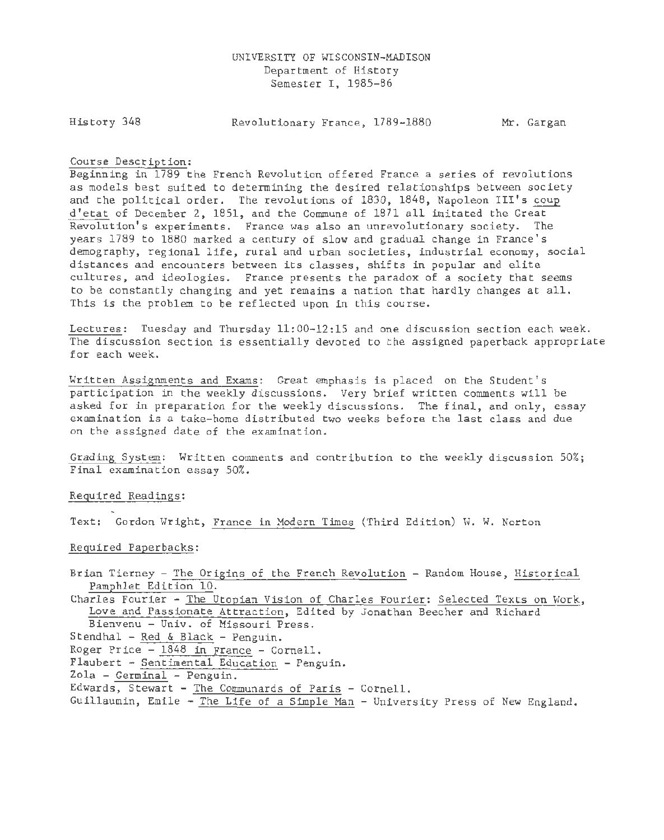History 348

Revolutionary France, 1789-1880 Mr. Gargan

#### Course Description:

Beginning in 1789 the French Revolution offered France a series of revolutions as models best suited to determining the desired relationships between society and the political order. The revolutions of 1830, 1848, Napoleon III's coup <sup>d</sup> 'etat of December 2, 18Sl, and the Commune of 1871 all imitated the Great Revolution's experiments. France was also an unrevolutionary society. The years 1789 to 1880 marked a century of slow and gradual change in France's demography, regional life, rural and urban societies, industrial economy, social distances and encounters between its classes, shifts in popular and elite cultures, and ideologies. France presents the paradox of a society that seems to be constantly changing and yet remains a nation that hardly changes at all. This is the problem to be reflected upon in this course.

Lectures: Tuesday and Thursday ll:00-12:1S and one discussion section each week. The discussion section is essentially devoted to the assigned paperback appropriate for each week.

Written Assignments and Exams: Great emphasis is placed on the Student's participation in the weekly discussions. Very brief written comments will be asked for in preparation for the weekly discussions. The final, and only, essay examination is a take-home distributed two weeks before the last class and due on the assigned date of the examination.

Grading System: Written comments and contribution to the weekly discussion SO%; Final examination essay SO%.

Required Readings:

Text: Gordon Wright, France in Modern Times (Third Edition) W. W. Norton

Required Paperbacks:

Brian Tierney - The Origins of the French Revolution - Random House, Historical Pamphlet Edition 10. Charles Fourier - The Utopian Vision of Charles Fourier: Selected Texts on Work, Love and Passionate Attraction, Edited by Jonathan Beecher and Richard Bienvenu - Univ. of Missouri Press. Stendhal - Red & Black - Penguin. Roger Price - 1848 in prance - Cornell.  $Flaubert - Sentimental Education - Penguin.$ 

Zola - Germinal - Penguin.

Edwards, Stewart - The Communards of Paris - Cornell.

Guillaumin, Emile - The Life of a Simple Man - University Press of New England.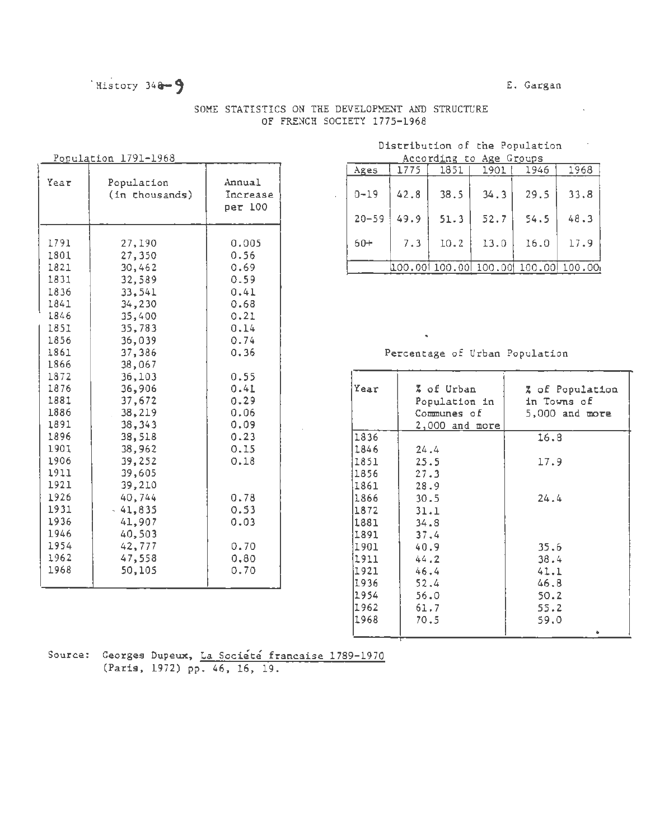## History  $340 - 9$

#### E. Gargan

 $\sim$   $\sim$ 

## SOME STATISTICS ON THE DEVELOPMENT AND STRUCTURE OF FRENCH SOCIETY 1775-1968

#### Population 1791-1968

| Year                                                                                                                                                                                                         | Population<br>(in thousands)                                                                                                                                                                                                                                         | Annual<br>Increase<br>рет 100                                                                                                                                                 |
|--------------------------------------------------------------------------------------------------------------------------------------------------------------------------------------------------------------|----------------------------------------------------------------------------------------------------------------------------------------------------------------------------------------------------------------------------------------------------------------------|-------------------------------------------------------------------------------------------------------------------------------------------------------------------------------|
| 1791<br>1801<br>1821<br>1831<br>1836<br>1841<br>1846<br>1851<br>1856<br>1861<br>1866<br>1872<br>1876<br>1881<br>1886<br>1891<br>1896<br>1901<br>1906<br>1911<br>1921<br>1926<br>1931<br>1936<br>1946<br>1954 | 27,190<br>27,350<br>30,462<br>32,589<br>33,541<br>34,230<br>35,400<br>35,783<br>36,039<br>37,386<br>38,067<br>36,103<br>36,906<br>37,672<br>.38,219<br>38,343<br>38,518<br>38,962<br>39,252<br>39,605<br>39,210<br>40,744<br>$-41,835$<br>41,907<br>40,503<br>42,777 | 0.005<br>0.56<br>0.69<br>0.59<br>0.41<br>0.68<br>0.21<br>0.14<br>0.74<br>0.36<br>0.55<br>0.41<br>0.29<br>0.06<br>0.09<br>0.23<br>0.15<br>0.18<br>0.78<br>0.53<br>0.03<br>0.70 |
| 1962<br>1968                                                                                                                                                                                                 | 47,558<br>50,105                                                                                                                                                                                                                                                     | 0,80<br>0.70                                                                                                                                                                  |

# Distribution of the Population

|                               | According to Age Groups |           |         |        |         |         |                     |  |  |  |  |
|-------------------------------|-------------------------|-----------|---------|--------|---------|---------|---------------------|--|--|--|--|
|                               |                         | Ages      | 1775    | 1851   | 1901    | 1946    | 1968                |  |  |  |  |
| Annual<br>Increase<br>рет 100 |                         | $0 - 19$  | 42.8    | 38.5   | 34.3    | 29.5    | 33.8                |  |  |  |  |
|                               |                         | $20 - 59$ | 49.9    | 51.3   | 52.7    | 54.5    | 48.3                |  |  |  |  |
| 0.005<br>0.56                 |                         | $60+$     | 7.3     | 10.2   | 13.0    | 16.0    | 17.9                |  |  |  |  |
| 0.69                          |                         |           | 100.001 | 100.00 | 100.00! | 100,001 | 100.00 <sub>1</sub> |  |  |  |  |

#### Percentage of Urban Population

| 0.55 |      |                  |                  |
|------|------|------------------|------------------|
| 0.41 | Year | % of Urban       | % of Population  |
| 0.29 |      | Population in    | in Towns of      |
| 0.06 |      | Communes of      | $5,000$ and more |
| 0.09 |      | $2,000$ and more |                  |
| 0.23 | 1836 |                  | 16.8             |
| 0.15 | 1846 | 24.4             |                  |
| 0.18 | 1851 | 25.5             | 17.9             |
|      | 1856 | 27.3             |                  |
|      | 1861 | 28.9             |                  |
| 0.78 | 1866 | 30.5             | 24.4             |
| 0.53 | 1872 | 31.1             |                  |
| 0.03 | 1881 | 34.8             |                  |
|      | 1891 | 37.4             |                  |
| 0.70 | 1901 | 40.9             | 35.6             |
| 0,80 | 1911 | 44.2             | 38.4             |
| 0.70 | 1921 | 46.4             | 41.1             |
|      | 1936 | 52.4             | 46.8             |
|      | 1954 | 56.0             | 50.2             |
|      | 1962 | 61.7             | 55.2             |
|      | 1968 | 70.5             | 59.0             |
|      |      |                  |                  |

Source: Georges Dupeux, La Société francaise 1789-1970 (Paris, 1972) pp. 46, 16, 19.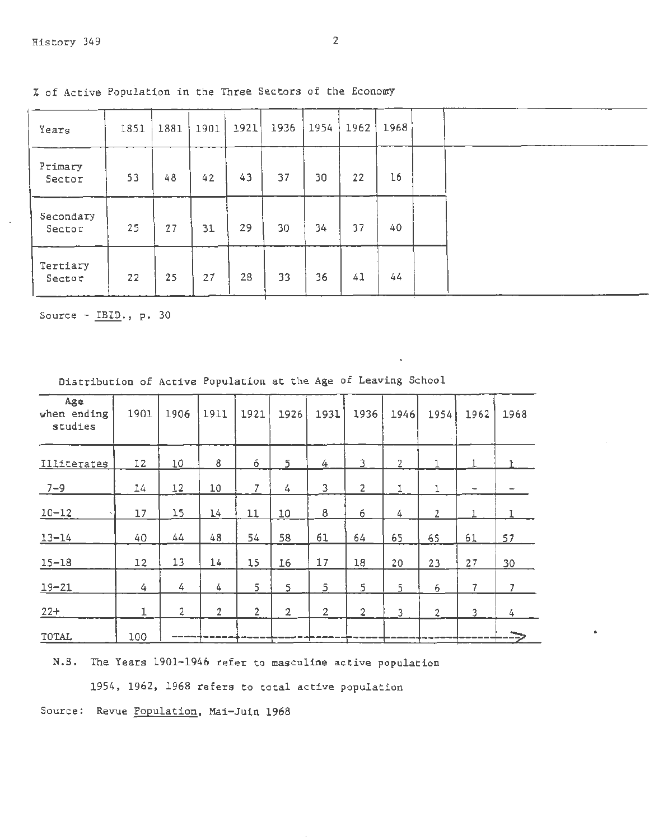| Years               | 1851 | 1881 | 1901 | 1921 | 1936 | 1954 | 1962 | 1968 |  |
|---------------------|------|------|------|------|------|------|------|------|--|
| Primary<br>Sector   | 53   | 48   | 42   | 43   | 37   | 30   | 22   | 16   |  |
| Secondary<br>Sector | 25   | 27   | 31   | 29   | 30   | 34   | 37   | 40   |  |
| Tertiary<br>Sector  | 22   | 25   | 27   | 28   | 33   | 36   | 41   | 44   |  |

% of Active Population in the Three Sectors of the Economy

Source -  $IBID.$ , p. 30

| Distribution of Active Population at the Age of Leaving School |  |  |  |  |  |  |  |  |  |  |
|----------------------------------------------------------------|--|--|--|--|--|--|--|--|--|--|
|----------------------------------------------------------------|--|--|--|--|--|--|--|--|--|--|

| Age<br>when ending<br>studies | 1901 | 1906           | 1911           | 1921           | 1926           | 1931        | 1936           | 1946           | 1954           | 1962                     | 1968 |
|-------------------------------|------|----------------|----------------|----------------|----------------|-------------|----------------|----------------|----------------|--------------------------|------|
| Illiterates                   | 12   | 10             | 8              | 6              | 5              | 4           | 3              | $\overline{c}$ | $\mathbf 1$    |                          |      |
| $7 - 9$                       | 14   | 12             | 10             | 7              | 4              | 3           | $\mathbf{2}$   | 1              | 1              | $\overline{\phantom{a}}$ |      |
| $10 - 12$                     | 17   | 15             | 14             | 11             | 10             | 8           | 6              | 4              | $\mathbf{2}$   |                          |      |
| $13 - 14$                     | 40   | 44             | 48             | 54             | 58             | 61          | 64             | 65             | 65             | 61                       | 57   |
| $15 - 18$                     | 12   | 13             | 14             | 15             | 16             | 17          | 18             | 20             | 23             | 27                       | 30   |
| $19 - 21$                     | 4    | 4              | 4              | 5              | 5              | 5           | 5              | 5              | 6              | 7                        | 7    |
| $22+$                         | 1    | $\overline{2}$ | $\overline{c}$ | $\overline{2}$ | $\overline{2}$ | $\mathbf 2$ | $\overline{2}$ | 3              | $\overline{2}$ | 3                        | 4    |
| TOTAL                         | 100  |                |                |                |                |             |                |                |                |                          |      |

N.B. The Years 1901-1946 refer to masculine active population

1954, 1962, 1968 refers to total active population

Source: Revue Population, Mai-Juin 1968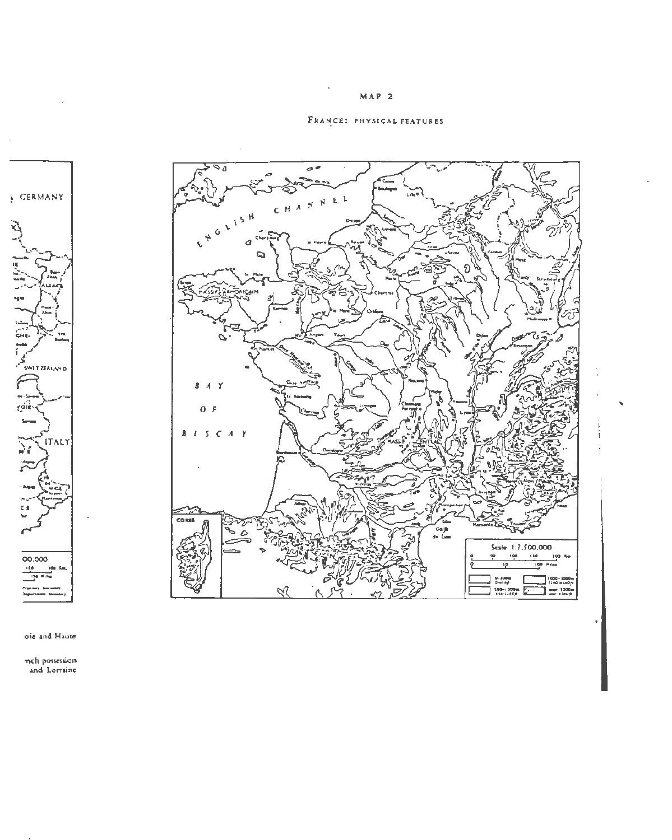### $MAP$  2

## FRANCE: PHYSICAL FEATURES



 $\sim$ 

ole and Haute

mch possession<br>and Lorraine

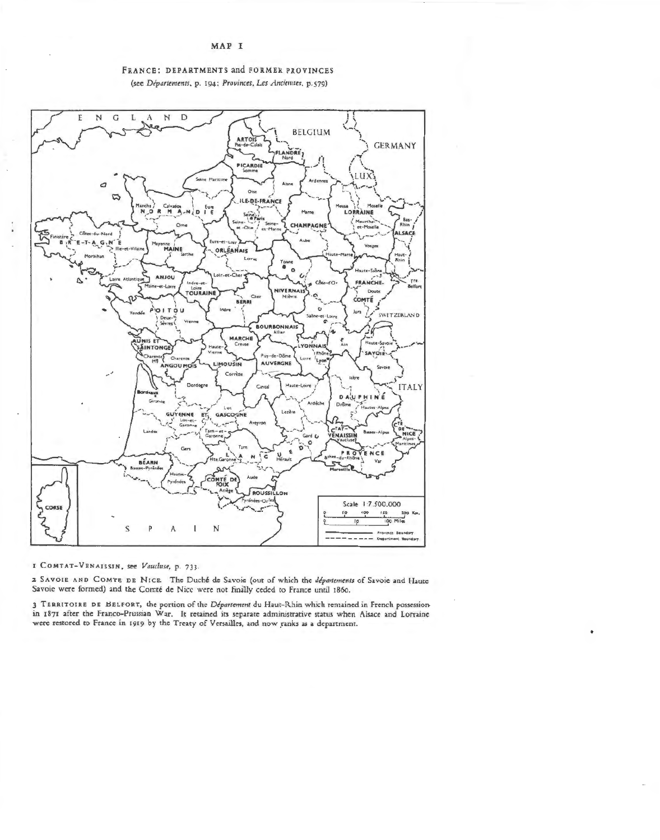MAP I



#### FRANCE: DEPARTMENTS and FORMER PROVINCES (see Départements, p. 194; Provinces, Les Anciennes, p.579)

I COMTAT-VENAISSIN, see Vaucluse, p. 733.

2 SAVOIE AND COMTE DE NICE. The Duché de Savoie (out of which the départements of Savoie and Haute Savoie were formed) and the Comté de Nice were not finally ceded to France until 1860.

3 TERRITOIRE DE BELFORT, the portion of the Département du Haut-Rhin which remained in French possessionin 1871 after the Franco-Prussian War. It retained its separate administrative status when Alsace and Lorraine were restored to France in 1919 by the Treaty of Versailles, and now ranks as a department.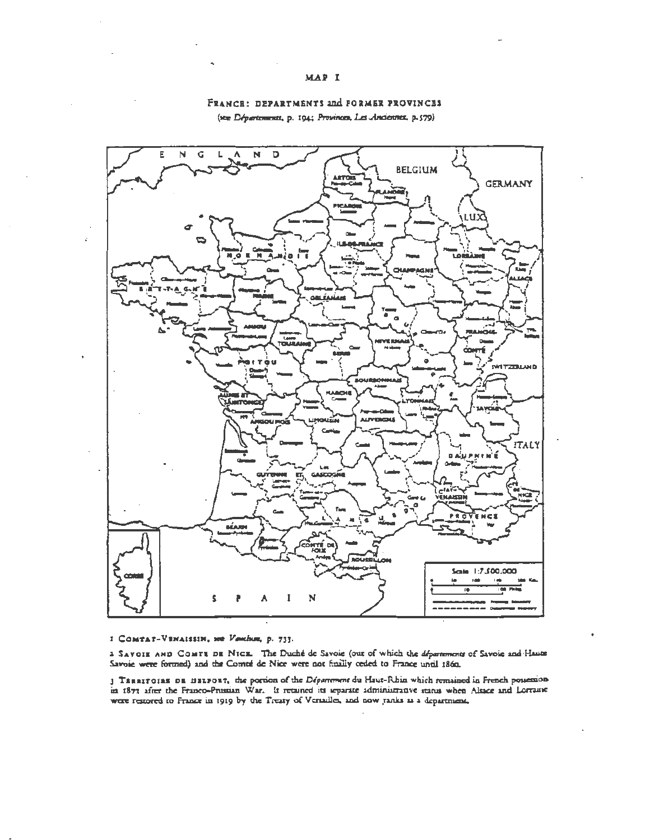#### MAP I



# FRANCE: DEPARTMENTS and FORMER PROVINCES

(see Départements, p. 194; Provinces, Les Anciennes, p.579)

#### I COMTAT-VENAISSIN, see Venchum, p. 733.

a SAVOIE AND COMTE DE NICE. The Duché de Savoie (out of which the *départment* of Savoie and Haute

3 TERRITOIRE DE BELFORT, the portion of the Départment du Haut-Rhin which remained in French possession in 1871 after the Franco-Prussian War. It retained its separate administrative status when Alsace and Lorraine were re